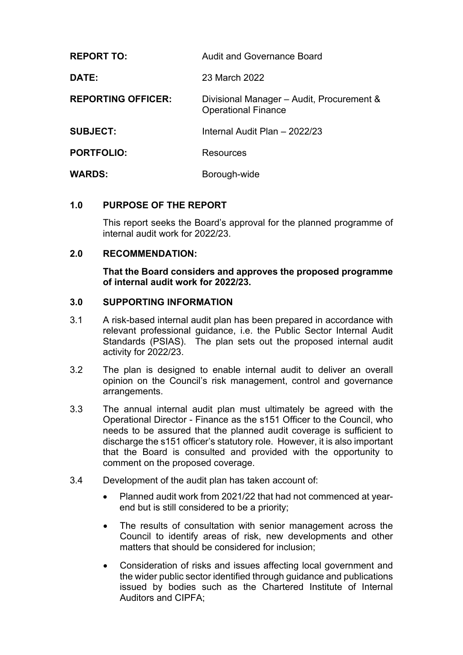| <b>REPORT TO:</b>         | <b>Audit and Governance Board</b>                                       |
|---------------------------|-------------------------------------------------------------------------|
| <b>DATE:</b>              | 23 March 2022                                                           |
| <b>REPORTING OFFICER:</b> | Divisional Manager - Audit, Procurement &<br><b>Operational Finance</b> |
| <b>SUBJECT:</b>           | Internal Audit Plan - 2022/23                                           |
| <b>PORTFOLIO:</b>         | Resources                                                               |
| <b>WARDS:</b>             | Borough-wide                                                            |

### **1.0 PURPOSE OF THE REPORT**

This report seeks the Board's approval for the planned programme of internal audit work for 2022/23.

### **2.0 RECOMMENDATION:**

**That the Board considers and approves the proposed programme of internal audit work for 2022/23.**

### **3.0 SUPPORTING INFORMATION**

- 3.1 A risk-based internal audit plan has been prepared in accordance with relevant professional guidance, i.e. the Public Sector Internal Audit Standards (PSIAS). The plan sets out the proposed internal audit activity for 2022/23.
- 3.2 The plan is designed to enable internal audit to deliver an overall opinion on the Council's risk management, control and governance arrangements.
- 3.3 The annual internal audit plan must ultimately be agreed with the Operational Director - Finance as the s151 Officer to the Council, who needs to be assured that the planned audit coverage is sufficient to discharge the s151 officer's statutory role. However, it is also important that the Board is consulted and provided with the opportunity to comment on the proposed coverage.
- 3.4 Development of the audit plan has taken account of:
	- Planned audit work from 2021/22 that had not commenced at yearend but is still considered to be a priority;
	- The results of consultation with senior management across the Council to identify areas of risk, new developments and other matters that should be considered for inclusion;
	- Consideration of risks and issues affecting local government and the wider public sector identified through guidance and publications issued by bodies such as the Chartered Institute of Internal Auditors and CIPFA;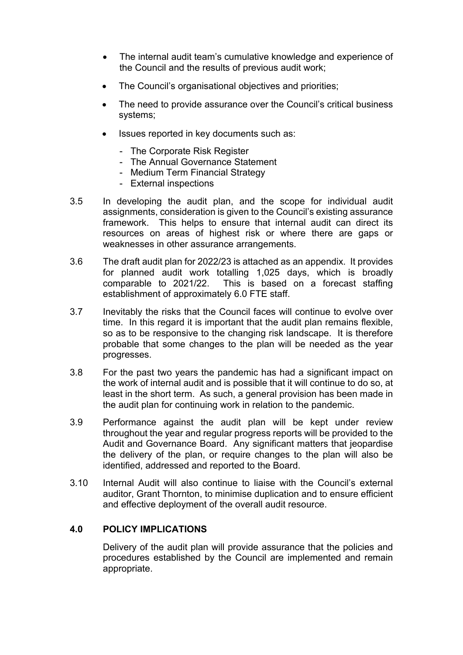- The internal audit team's cumulative knowledge and experience of the Council and the results of previous audit work;
- The Council's organisational objectives and priorities;
- The need to provide assurance over the Council's critical business systems;
- Issues reported in key documents such as:
	- The Corporate Risk Register
	- The Annual Governance Statement
	- Medium Term Financial Strategy
	- External inspections
- 3.5 In developing the audit plan, and the scope for individual audit assignments, consideration is given to the Council's existing assurance framework. This helps to ensure that internal audit can direct its resources on areas of highest risk or where there are gaps or weaknesses in other assurance arrangements.
- 3.6 The draft audit plan for 2022/23 is attached as an appendix. It provides for planned audit work totalling 1,025 days, which is broadly comparable to 2021/22. This is based on a forecast staffing establishment of approximately 6.0 FTE staff.
- 3.7 Inevitably the risks that the Council faces will continue to evolve over time. In this regard it is important that the audit plan remains flexible, so as to be responsive to the changing risk landscape. It is therefore probable that some changes to the plan will be needed as the year progresses.
- 3.8 For the past two years the pandemic has had a significant impact on the work of internal audit and is possible that it will continue to do so, at least in the short term. As such, a general provision has been made in the audit plan for continuing work in relation to the pandemic.
- 3.9 Performance against the audit plan will be kept under review throughout the year and regular progress reports will be provided to the Audit and Governance Board. Any significant matters that jeopardise the delivery of the plan, or require changes to the plan will also be identified, addressed and reported to the Board.
- 3.10 Internal Audit will also continue to liaise with the Council's external auditor, Grant Thornton, to minimise duplication and to ensure efficient and effective deployment of the overall audit resource.

## **4.0 POLICY IMPLICATIONS**

Delivery of the audit plan will provide assurance that the policies and procedures established by the Council are implemented and remain appropriate.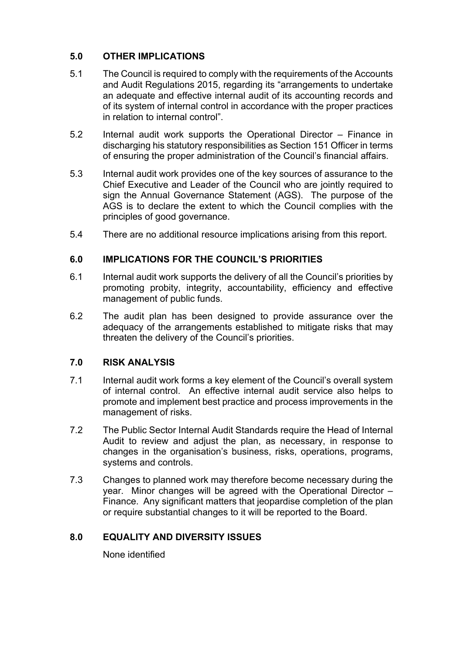# **5.0 OTHER IMPLICATIONS**

- 5.1 The Council is required to comply with the requirements of the Accounts and Audit Regulations 2015, regarding its "arrangements to undertake an adequate and effective internal audit of its accounting records and of its system of internal control in accordance with the proper practices in relation to internal control".
- 5.2 Internal audit work supports the Operational Director Finance in discharging his statutory responsibilities as Section 151 Officer in terms of ensuring the proper administration of the Council's financial affairs.
- 5.3 Internal audit work provides one of the key sources of assurance to the Chief Executive and Leader of the Council who are jointly required to sign the Annual Governance Statement (AGS). The purpose of the AGS is to declare the extent to which the Council complies with the principles of good governance.
- 5.4 There are no additional resource implications arising from this report.

## **6.0 IMPLICATIONS FOR THE COUNCIL'S PRIORITIES**

- 6.1 Internal audit work supports the delivery of all the Council's priorities by promoting probity, integrity, accountability, efficiency and effective management of public funds.
- 6.2 The audit plan has been designed to provide assurance over the adequacy of the arrangements established to mitigate risks that may threaten the delivery of the Council's priorities.

## **7.0 RISK ANALYSIS**

- 7.1 Internal audit work forms a key element of the Council's overall system of internal control. An effective internal audit service also helps to promote and implement best practice and process improvements in the management of risks.
- 7.2 The Public Sector Internal Audit Standards require the Head of Internal Audit to review and adjust the plan, as necessary, in response to changes in the organisation's business, risks, operations, programs, systems and controls.
- 7.3 Changes to planned work may therefore become necessary during the year. Minor changes will be agreed with the Operational Director – Finance. Any significant matters that jeopardise completion of the plan or require substantial changes to it will be reported to the Board.

## **8.0 EQUALITY AND DIVERSITY ISSUES**

None identified